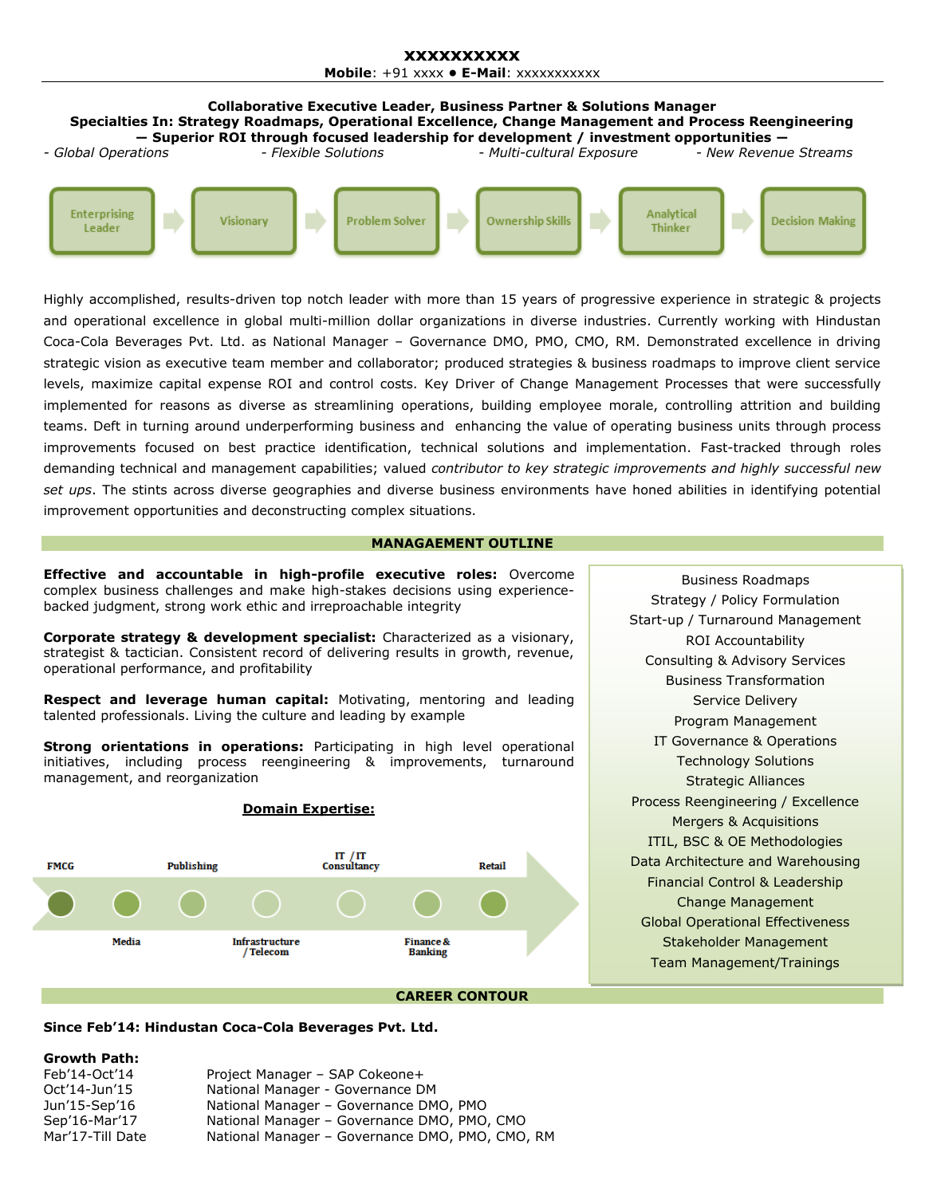#### **xxxxxxxxxx Mobile**: +91 xxxx **• E-Mail**: xxxxxxxxxxx



Highly accomplished, results-driven top notch leader with more than 15 years of progressive experience in strategic & projects and operational excellence in global multi-million dollar organizations in diverse industries. Currently working with Hindustan Coca-Cola Beverages Pvt. Ltd. as National Manager – Governance DMO, PMO, CMO, RM. Demonstrated excellence in driving strategic vision as executive team member and collaborator; produced strategies & business roadmaps to improve client service levels, maximize capital expense ROI and control costs. Key Driver of Change Management Processes that were successfully implemented for reasons as diverse as streamlining operations, building employee morale, controlling attrition and building teams. Deft in turning around underperforming business and enhancing the value of operating business units through process improvements focused on best practice identification, technical solutions and implementation. Fast-tracked through roles demanding technical and management capabilities; valued *contributor to key strategic improvements and highly successful new set ups*. The stints across diverse geographies and diverse business environments have honed abilities in identifying potential improvement opportunities and deconstructing complex situations.

#### **MANAGAEMENT OUTLINE**

**Effective and accountable in high-profile executive roles:** Overcome complex business challenges and make high-stakes decisions using experiencebacked judgment, strong work ethic and irreproachable integrity

**Corporate strategy & development specialist:** Characterized as a visionary, strategist & tactician. Consistent record of delivering results in growth, revenue, operational performance, and profitability

**Respect and leverage human capital:** Motivating, mentoring and leading talented professionals. Living the culture and leading by example

**Strong orientations in operations:** Participating in high level operational initiatives, including process reengineering & improvements, turnaround management, and reorganization



Strategy / Policy Formulation Start-up / Turnaround Management ROI Accountability Consulting & Advisory Services Business Transformation Service Delivery Program Management IT Governance & Operations Technology Solutions Strategic Alliances Process Reengineering / Excellence Mergers & Acquisitions ITIL, BSC & OE Methodologies Data Architecture and Warehousing Financial Control & Leadership Change Management Global Operational Effectiveness Stakeholder Management Team Management/Trainings

Business Roadmaps

#### **Since Feb'14: Hindustan Coca-Cola Beverages Pvt. Ltd.**

#### **Growth Path:**

| Feb'14-Oct'14    | Project Manager - SAP Cokeone+                  |
|------------------|-------------------------------------------------|
| Oct'14-Jun'15    | National Manager - Governance DM                |
| Jun'15-Sep'16    | National Manager - Governance DMO, PMO          |
| Sep'16-Mar'17    | National Manager – Governance DMO, PMO, CMO     |
| Mar'17-Till Date | National Manager - Governance DMO, PMO, CMO, RM |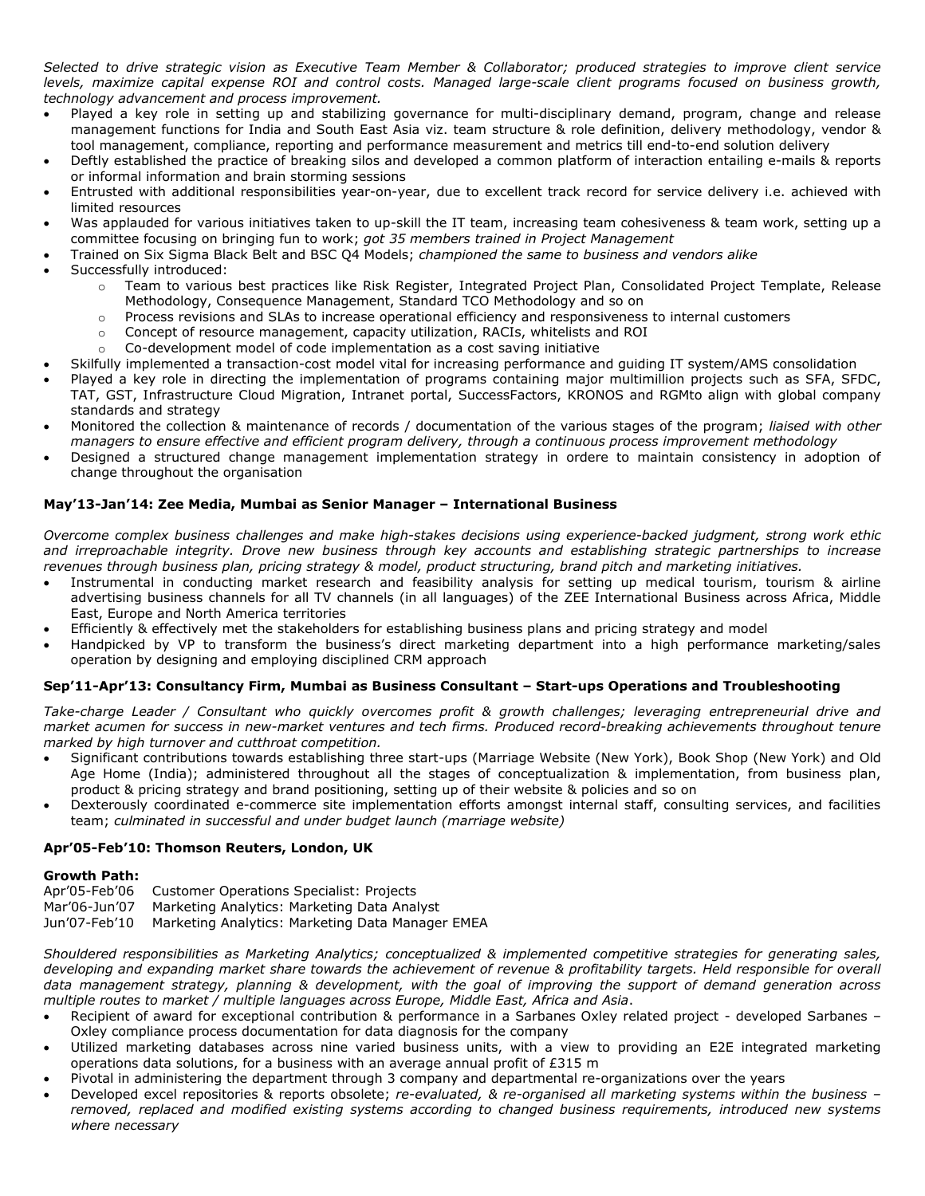*Selected to drive strategic vision as Executive Team Member & Collaborator; produced strategies to improve client service levels, maximize capital expense ROI and control costs. Managed large-scale client programs focused on business growth, technology advancement and process improvement.*

- Played a key role in setting up and stabilizing governance for multi-disciplinary demand, program, change and release management functions for India and South East Asia viz. team structure & role definition, delivery methodology, vendor & tool management, compliance, reporting and performance measurement and metrics till end-to-end solution delivery
- Deftly established the practice of breaking silos and developed a common platform of interaction entailing e-mails & reports or informal information and brain storming sessions
- Entrusted with additional responsibilities year-on-year, due to excellent track record for service delivery i.e. achieved with limited resources
- Was applauded for various initiatives taken to up-skill the IT team, increasing team cohesiveness & team work, setting up a committee focusing on bringing fun to work; *got 35 members trained in Project Management*
- Trained on Six Sigma Black Belt and BSC Q4 Models; *championed the same to business and vendors alike*
- Successfully introduced:
	- o Team to various best practices like Risk Register, Integrated Project Plan, Consolidated Project Template, Release Methodology, Consequence Management, Standard TCO Methodology and so on
	- Process revisions and SLAs to increase operational efficiency and responsiveness to internal customers
	- o Concept of resource management, capacity utilization, RACIs, whitelists and ROI
		- o Co-development model of code implementation as a cost saving initiative
- Skilfully implemented a transaction-cost model vital for increasing performance and guiding IT system/AMS consolidation
- Played a key role in directing the implementation of programs containing major multimillion projects such as SFA, SFDC, TAT, GST, Infrastructure Cloud Migration, Intranet portal, SuccessFactors, KRONOS and RGMto align with global company standards and strategy
- Monitored the collection & maintenance of records / documentation of the various stages of the program; *liaised with other managers to ensure effective and efficient program delivery, through a continuous process improvement methodology*
- Designed a structured change management implementation strategy in ordere to maintain consistency in adoption of change throughout the organisation

## **May'13-Jan'14: Zee Media, Mumbai as Senior Manager – International Business**

*Overcome complex business challenges and make high-stakes decisions using experience-backed judgment, strong work ethic and irreproachable integrity. Drove new business through key accounts and establishing strategic partnerships to increase revenues through business plan, pricing strategy & model, product structuring, brand pitch and marketing initiatives.*

- Instrumental in conducting market research and feasibility analysis for setting up medical tourism, tourism & airline advertising business channels for all TV channels (in all languages) of the ZEE International Business across Africa, Middle East, Europe and North America territories
- Efficiently & effectively met the stakeholders for establishing business plans and pricing strategy and model
- Handpicked by VP to transform the business's direct marketing department into a high performance marketing/sales operation by designing and employing disciplined CRM approach

## **Sep'11-Apr'13: Consultancy Firm, Mumbai as Business Consultant – Start-ups Operations and Troubleshooting**

*Take-charge Leader / Consultant who quickly overcomes profit & growth challenges; leveraging entrepreneurial drive and market acumen for success in new-market ventures and tech firms. Produced record-breaking achievements throughout tenure marked by high turnover and cutthroat competition.*

- Significant contributions towards establishing three start-ups (Marriage Website (New York), Book Shop (New York) and Old Age Home (India); administered throughout all the stages of conceptualization & implementation, from business plan, product & pricing strategy and brand positioning, setting up of their website & policies and so on
- Dexterously coordinated e-commerce site implementation efforts amongst internal staff, consulting services, and facilities team; *culminated in successful and under budget launch (marriage website)*

## **Apr'05-Feb'10: Thomson Reuters, London, UK**

#### **Growth Path:**

- Apr'05-Feb'06 Customer Operations Specialist: Projects
- Mar'06-Jun'07 Marketing Analytics: Marketing Data Analyst
- Jun'07-Feb'10 Marketing Analytics: Marketing Data Manager EMEA

*Shouldered responsibilities as Marketing Analytics; conceptualized & implemented competitive strategies for generating sales, developing and expanding market share towards the achievement of revenue & profitability targets. Held responsible for overall data management strategy, planning & development, with the goal of improving the support of demand generation across multiple routes to market / multiple languages across Europe, Middle East, Africa and Asia*.

- Recipient of award for exceptional contribution & performance in a Sarbanes Oxley related project developed Sarbanes Oxley compliance process documentation for data diagnosis for the company
- Utilized marketing databases across nine varied business units, with a view to providing an E2E integrated marketing operations data solutions, for a business with an average annual profit of  $E315$  m
- Pivotal in administering the department through 3 company and departmental re-organizations over the years
- Developed excel repositories & reports obsolete; *re-evaluated, & re-organised all marketing systems within the business – removed, replaced and modified existing systems according to changed business requirements, introduced new systems where necessary*